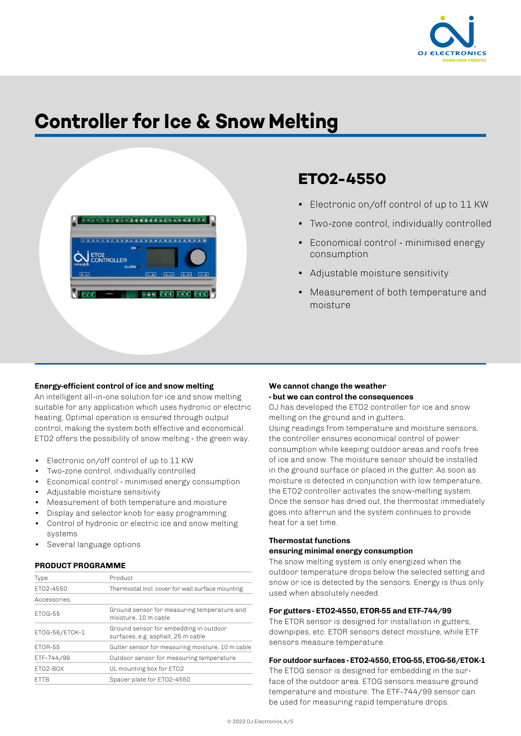

# **Controller for Ice & Snow Melting**



# **ETO2-4550**

- Electronic on/off control of up to 11 KW
- Two-zone control, individually controlled
- Economical control minimised energy consumption
- Adjustable moisture sensitivity
- Measurement of both temperature and moisture

# **Energy-efficient control of ice and snow melting**

An intelligent all-in-one solution for ice and snow melting suitable for any application which uses hydronic or electric heating. Optimal operation is ensured through output control, making the system both effective and economical. ETO2 offers the possibility of snow melting - the green way.

- Electronic on/off control of up to 11 KW
- Two-zone control, individually controlled
- Economical control minimised energy consumption
- Adjustable moisture sensitivity
- Measurement of both temperature and moisture
- Display and selector knob for easy programming
- Control of hydronic or electric ice and snow melting systems
- Several language options

#### **PRODUCT PROGRAMME**

| Type           | Product                                                                      |  |
|----------------|------------------------------------------------------------------------------|--|
| FT02-4550      | Thermostat incl. cover for wall surface mounting                             |  |
| Accessories    |                                                                              |  |
| FT0G-55        | Ground sensor for measuring temperature and<br>moisture. 10 m cable          |  |
| ETOG-56/ETOK-1 | Ground sensor for embedding in outdoor<br>surfaces, e.g. asphalt, 25 m cable |  |
| FT0R-55        | Gutter sensor for measuring moisture, 10 m cable                             |  |
| ETF-744/99     | Outdoor sensor for measuring temperature                                     |  |
| FT02-BOX       | UL mounting box for ETO2                                                     |  |
| <b>FTTB</b>    | Spacer plate for ET02-4550                                                   |  |
|                |                                                                              |  |

# **We cannot change the weather - but we can control the consequences**

OJ has developed the ETO2 controller for ice and snow melting on the ground and in gutters.

Using readings from temperature and moisture sensors, the controller ensures economical control of power consumption while keeping outdoor areas and roofs free of ice and snow. The moisture sensor should be installed in the ground surface or placed in the gutter. As soon as moisture is detected in conjunction with low temperature, the ETO2 controller activates the snow-melting system. Once the sensor has dried out, the thermostat immediately goes into afterrun and the system continues to provide heat for a set time.

# **Thermostat functions**

# **ensuring minimal energy consumption**

The snow melting system is only energized when the outdoor temperature drops below the selected setting and snow or ice is detected by the sensors. Energy is thus only used when absolutely needed.

# **For gutters - ETO2-4550, ETOR-55 and ETF-744/99**

The ETOR sensor is designed for installation in gutters, downpipes, etc. ETOR sensors detect moisture, while ETF sensors measure temperature.

# **For outdoor surfaces - ETO2-4550, ETOG-55, ETOG-56/ETOK-1**

The ETOG sensor is designed for embedding in the surface of the outdoor area. ETOG sensors measure ground temperature and moisture. The ETF-744/99 sensor can be used for measuring rapid temperature drops.